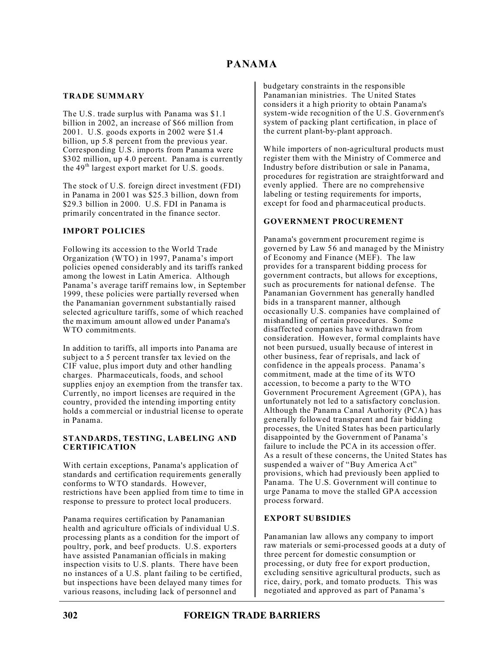### **TRADE SUMMARY**

The U.S. trade surplus with Panama was \$1.1 billion in 2002, an increase of \$66 million from 2001. U.S. goods exports in 2002 were \$1.4 billion, up 5.8 percent from the previous year. Corresponding U.S. imports from Panama were \$302 million, up 4.0 percent. Panama is currently the 49<sup>th</sup> largest export market for U.S. goods.

The stock of U.S. foreign direct investment (FDI) in Panama in 2001 was \$25.3 billion, down from \$29.3 billion in 2000. U.S. FDI in Panama is primarily concentrated in the finance sector.

## **IMPORT POLICIES**

Following its accession to the World Trade Organization (WTO) in 1997, Panama's import policies opened considerably and its tariffs ranked among the lowest in Latin America. Although Panama's average tariff remains low, in September 1999, these policies were partially reversed when the Panamanian government substantially raised selected agriculture tariffs, some of which reached the maximum amount allowed under Panama's WTO commitments.

In addition to tariffs, all imports into Panama are subject to a 5 percent transfer tax levied on the CIF value, plus import duty and other handling charges. Pharmaceuticals, foods, and school supplies enjoy an exemption from the transfer tax. Currently, no import licenses are required in the country, provided the intending importing entity holds a commercial or industrial license to operate in Panama.

#### **STANDARDS, TESTING, LABELING AND CERTIFICATION**

With certain exceptions, Panama's application of standards and certification requirements generally conforms to WTO standards. However, restrictions have been applied from time to time in response to pressure to protect local producers.

Panama requires certification by Panamanian health and agriculture officials of individual U.S. processing plants as a condition for the import of poultry, pork, and beef products. U.S. exporters have assisted Panamanian officials in making inspection visits to U.S. plants. There have been no instances of a U.S. plant failing to be certified, but inspections have been delayed many times for various reasons, including lack of personnel and

budgetary constraints in the responsible Panamanian ministries. The United States considers it a high priority to obtain Panama's system-wide recognition of the U.S. Government's system of packing plant certification, in place of the current plant-by-plant approach.

While importers of non-agricultural products must register them with the Ministry of Commerce and Industry before distribution or sale in Panama, procedures for registration are straightforward and evenly applied. There are no comprehensive labeling or testing requirements for imports, except for food and pharmaceutical products.

## **GOVERNMENT PROCUREMENT**

Panama's government procurement regime is governed by Law 56 and managed by the Ministry of Economy and Finance (MEF). The law provides for a transparent bidding process for government contracts, but allows for exceptions, such as procurements for national defense. The Panamanian Government has generally handled bids in a transparent manner, although occasionally U.S. companies have complained of mishandling of certain procedures. Some disaffected companies have withdrawn from consideration. However, formal complaints have not been pursued, usually because of interest in other business, fear of reprisals, and lack of confidence in the appeals process. Panama's commitment, made at the time of its WTO accession, to become a party to the WTO Government Procurement Agreement (GPA), has unfortunately not led to a satisfactory conclusion. Although the Panama Canal Authority (PCA) has generally followed transparent and fair bidding processes, the United States has been particularly disappointed by the Government of Panama's failure to include the PCA in its accession offer. As a result of these concerns, the United States has suspended a waiver of "Buy America Act" provisions, which had previously been applied to Panama. The U.S. Government will continue to urge Panama to move the stalled GPA accession process forward.

## **EXPORT SUBSIDIES**

Panamanian law allows any company to import raw materials or semi-processed goods at a duty of three percent for domestic consumption or processing, or duty free for export production, excluding sensitive agricultural products, such as rice, dairy, pork, and tomato products. This was negotiated and approved as part of Panama's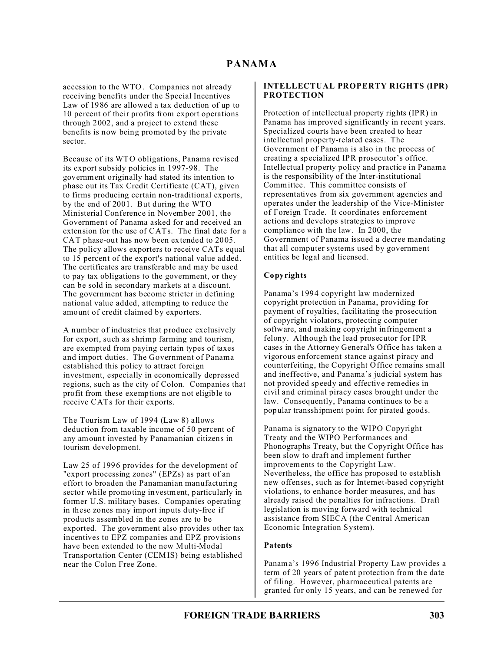## **PANAMA**

accession to the WTO. Companies not already receiving benefits under the Special Incentives Law of 1986 are allowed a tax deduction of up to 10 percent of their profits from export operations through 2002, and a project to extend these benefits is now being promoted by the private sector.

Because of its WTO obligations, Panama revised its export subsidy policies in 1997-98. The government originally had stated its intention to phase out its Tax Credit Certificate (CAT), given to firms producing certain non-traditional exports, by the end of 2001. But during the WTO Ministerial Conference in November 2001, the Government of Panama asked for and received an extension for the use of CATs. The final date for a CAT phase-out has now been extended to 2005. The policy allows exporters to receive CATs equal to 15 percent of the export's national value added. The certificates are transferable and may be used to pay tax obligations to the government, or they can be sold in secondary markets at a discount. The government has become stricter in defining national value added, attempting to reduce the amount of credit claimed by exporters.

A number of industries that produce exclusively for export, such as shrimp farming and tourism, are exempted from paying certain types of taxes and import duties. The Government of Panama established this policy to attract foreign investment, especially in economically depressed regions, such as the city of Colon. Companies that profit from these exemptions are not eligible to receive CATs for their exports.

The Tourism Law of 1994 (Law 8) allows deduction from taxable income of 50 percent of any amount invested by Panamanian citizens in tourism development.

Law 25 of 1996 provides for the development of "export processing zones" (EPZs) as part of an effort to broaden the Panamanian manufacturing sector while promoting investment, particularly in former U.S. military bases. Companies operating in these zones may import inputs duty-free if products assembled in the zones are to be exported. The government also provides other tax incentives to EPZ companies and EPZ provisions have been extended to the new Multi-Modal Transportation Center (CEMIS) being established near the Colon Free Zone.

#### **INTELLECTUAL PROPERTY RIGHTS (IPR) PROTECTION**

Protection of intellectual property rights (IPR) in Panama has improved significantly in recent years. Specialized courts have been created to hear intellectual property-related cases. The Government of Panama is also in the process of creating a specialized IPR prosecutor's office. Intellectual property policy and practice in Panama is the responsibility of the Inter-institutional Committee. This committee consists of representatives from six government agencies and operates under the leadership of the Vice-Minister of Foreign Trade. It coordinates enforcement actions and develops strategies to improve compliance with the law. In 2000, the Government of Panama issued a decree mandating that all computer systems used by government entities be legal and licensed.

#### **Copyrights**

Panama's 1994 copyright law modernized copyright protection in Panama, providing for payment of royalties, facilitating the prosecution of copyright violators, protecting computer software, and making copyright infringement a felony. Although the lead prosecutor for IPR cases in the Attorney General's Office has taken a vigorous enforcement stance against piracy and counterfeiting, the Copyright Office remains small and ineffective, and Panama's judicial system has not provided speedy and effective remedies in civil and criminal piracy cases brought under the law. Consequently, Panama continues to be a popular transshipment point for pirated goods.

Panama is signatory to the WIPO Copyright Treaty and the WIPO Performances and Phonographs Treaty, but the Copyright Office has been slow to draft and implement further improvements to the Copyright Law. Nevertheless, the office has proposed to establish new offenses, such as for Internet-based copyright violations, to enhance border measures, and has already raised the penalties for infractions. Draft legislation is moving forward with technical assistance from SIECA (the Central American Economic Integration System).

#### **Patents**

Panama's 1996 Industrial Property Law provides a term of 20 years of patent protection from the date of filing. However, pharmaceutical patents are granted for only 15 years, and can be renewed for